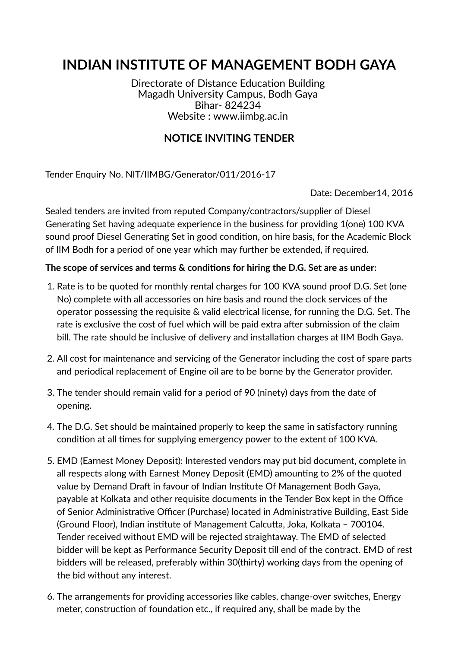# **INDIAN INSTITUTE OF MANAGEMENT BODH GAYA**

Directorate of Distance Education Building Magadh University Campus, Bodh Gaya Bihar- 824234 Website : www.iimbg.ac.in

# **NOTICE INVITING TENDER**

Tender Enquiry No. NIT/IIMBG/Generator/011/2016-17

Date: December14, 2016

Sealed tenders are invited from reputed Company/contractors/supplier of Diesel Generating Set having adequate experience in the business for providing 1(one) 100 KVA sound proof Diesel Generating Set in good condition, on hire basis, for the Academic Block of IIM Bodh for a period of one year which may further be extended, if required.

## **The scope of services and terms & condions for hiring the D.G. Set are as under:**

- 1. Rate is to be quoted for monthly rental charges for 100 KVA sound proof D.G. Set (one No) complete with all accessories on hire basis and round the clock services of the operator possessing the requisite & valid electrical license, for running the D.G. Set. The rate is exclusive the cost of fuel which will be paid extra after submission of the claim bill. The rate should be inclusive of delivery and installation charges at IIM Bodh Gaya.
- 2. All cost for maintenance and servicing of the Generator including the cost of spare parts and periodical replacement of Engine oil are to be borne by the Generator provider.
- 3. The tender should remain valid for a period of 90 (ninety) days from the date of opening.
- 4. The D.G. Set should be maintained properly to keep the same in satisfactory running condition at all times for supplying emergency power to the extent of 100 KVA.
- 5. EMD (Earnest Money Deposit): Interested vendors may put bid document, complete in all respects along with Earnest Money Deposit (EMD) amounting to 2% of the quoted value by Demand Draft in favour of Indian Institute Of Management Bodh Gaya, payable at Kolkata and other requisite documents in the Tender Box kept in the Office of Senior Administrative Officer (Purchase) located in Administrative Building, East Side (Ground Floor), Indian institute of Management Calcutta, Joka, Kolkata - 700104. Tender received without EMD will be rejected straightaway. The EMD of selected bidder will be kept as Performance Security Deposit till end of the contract. EMD of rest bidders will be released, preferably within 30(thirty) working days from the opening of the bid without any interest.
- 6. The arrangements for providing accessories like cables, change-over switches, Energy meter, construction of foundation etc., if required any, shall be made by the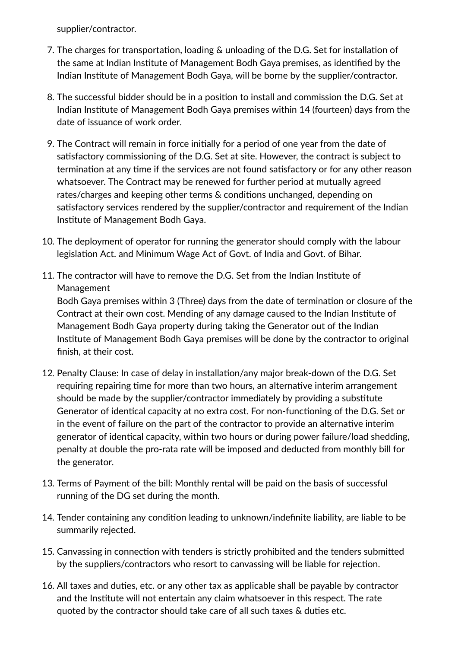supplier/contractor.

- 7. The charges for transportation, loading & unloading of the D.G. Set for installation of the same at Indian Institute of Management Bodh Gaya premises, as identified by the Indian Institute of Management Bodh Gaya, will be borne by the supplier/contractor.
- 8. The successful bidder should be in a position to install and commission the D.G. Set at Indian Institute of Management Bodh Gaya premises within 14 (fourteen) days from the date of issuance of work order.
- 9. The Contract will remain in force initially for a period of one year from the date of satisfactory commissioning of the D.G. Set at site. However, the contract is subject to termination at any time if the services are not found satisfactory or for any other reason whatsoever. The Contract may be renewed for further period at mutually agreed rates/charges and keeping other terms & conditions unchanged, depending on satisfactory services rendered by the supplier/contractor and requirement of the Indian Institute of Management Bodh Gaya.
- 10. The deployment of operator for running the generator should comply with the labour legislation Act. and Minimum Wage Act of Govt. of India and Govt. of Bihar.
- 11. The contractor will have to remove the D.G. Set from the Indian Instute of Management

Bodh Gaya premises within 3 (Three) days from the date of termination or closure of the Contract at their own cost. Mending of any damage caused to the Indian Instute of Management Bodh Gaya property during taking the Generator out of the Indian Institute of Management Bodh Gaya premises will be done by the contractor to original finish, at their cost.

- 12. Penalty Clause: In case of delay in installation/any major break-down of the D.G. Set requiring repairing time for more than two hours, an alternative interim arrangement should be made by the supplier/contractor immediately by providing a substitute Generator of identical capacity at no extra cost. For non-functioning of the D.G. Set or in the event of failure on the part of the contractor to provide an alternative interim generator of identical capacity, within two hours or during power failure/load shedding, penalty at double the pro-rata rate will be imposed and deducted from monthly bill for the generator.
- 13. Terms of Payment of the bill: Monthly rental will be paid on the basis of successful running of the DG set during the month.
- 14. Tender containing any condition leading to unknown/indefinite liability, are liable to be summarily rejected.
- 15. Canvassing in connection with tenders is strictly prohibited and the tenders submitted by the suppliers/contractors who resort to canvassing will be liable for rejection.
- 16. All taxes and duties, etc. or any other tax as applicable shall be payable by contractor and the Institute will not entertain any claim whatsoever in this respect. The rate quoted by the contractor should take care of all such taxes  $\&$  duties etc.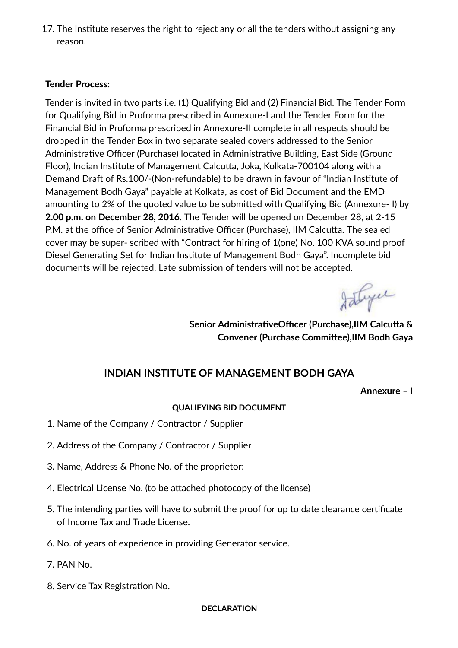17. The Institute reserves the right to reject any or all the tenders without assigning any reason.

### **Tender Process:**

Tender is invited in two parts i.e. (1) Qualifying Bid and (2) Financial Bid. The Tender Form for Qualifying Bid in Proforma prescribed in Annexure-I and the Tender Form for the Financial Bid in Proforma prescribed in Annexure-II complete in all respects should be dropped in the Tender Box in two separate sealed covers addressed to the Senior Administrative Officer (Purchase) located in Administrative Building, East Side (Ground Floor), Indian Institute of Management Calcutta, Joka, Kolkata-700104 along with a Demand Draft of Rs.100/-(Non-refundable) to be drawn in favour of "Indian Institute of Management Bodh Gaya" payable at Kolkata, as cost of Bid Document and the EMD amounting to 2% of the quoted value to be submitted with Qualifying Bid (Annexure- I) by **2.00 p.m. on December 28, 2016.** The Tender will be opened on December 28, at 2-15 P.M. at the office of Senior Administrative Officer (Purchase), IIM Calcutta. The sealed cover may be super- scribed with "Contract for hiring of 1(one) No. 100 KVA sound proof Diesel Generating Set for Indian Institute of Management Bodh Gaya". Incomplete bid documents will be rejected. Late submission of tenders will not be accepted.

Istryce

**Senior AdministrativeOfficer (Purchase),IIM Calcutta & Convener** (Purchase Committee), IIM Bodh Gaya

## **INDIAN INSTITUTE OF MANAGEMENT BODH GAYA**

**Annexure – I**

#### **QUALIFYING BID DOCUMENT**

- 1. Name of the Company / Contractor / Supplier
- 2. Address of the Company / Contractor / Supplier
- 3. Name, Address & Phone No. of the proprietor:
- 4. Electrical License No. (to be attached photocopy of the license)
- 5. The intending parties will have to submit the proof for up to date clearance certificate of Income Tax and Trade License.
- 6. No. of years of experience in providing Generator service.
- 7. PAN No.
- 8. Service Tax Registration No.

#### **DECLARATION**